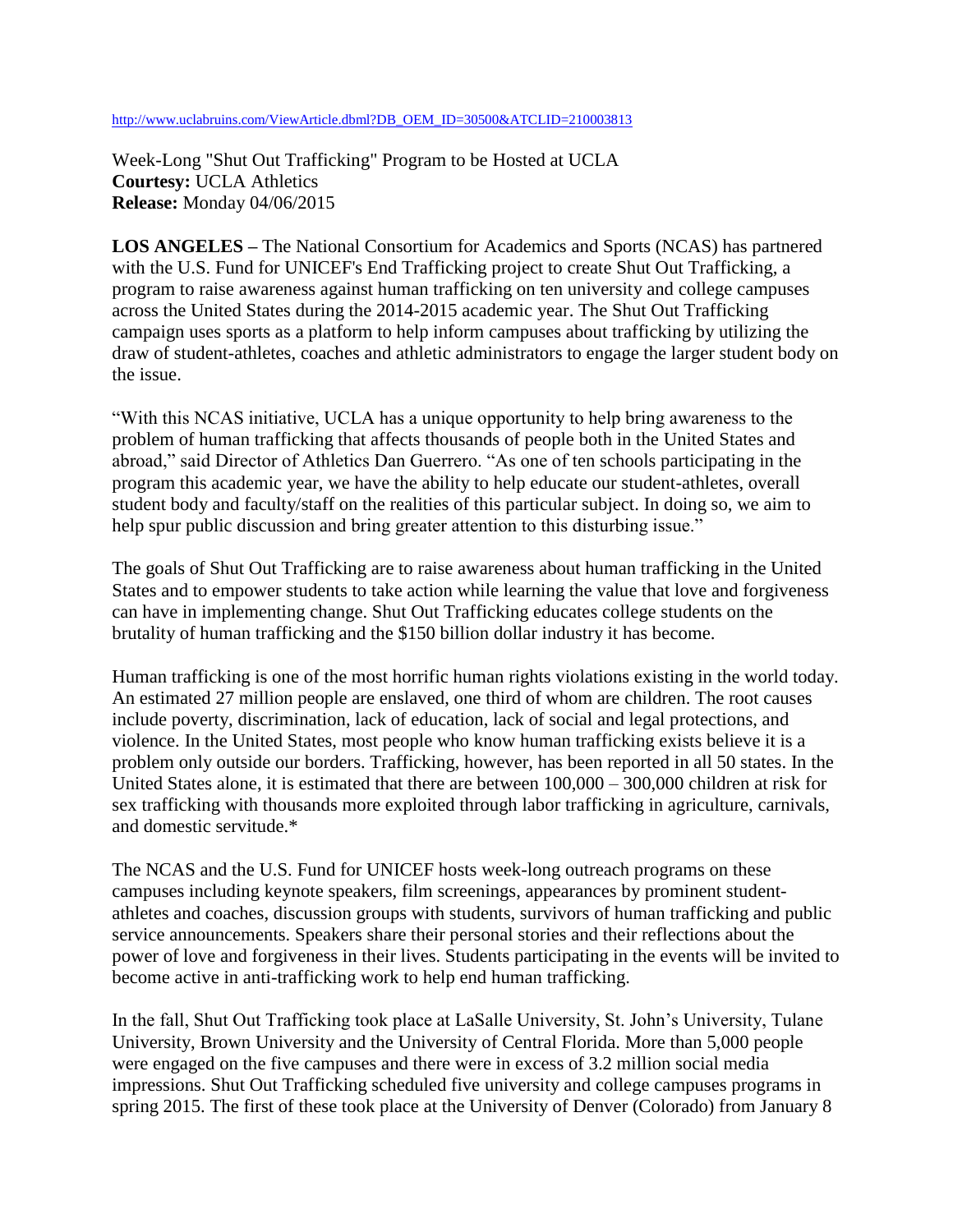[http://www.uclabruins.com/ViewArticle.dbml?DB\\_OEM\\_ID=30500&ATCLID=210003813](http://www.uclabruins.com/ViewArticle.dbml?DB_OEM_ID=30500&ATCLID=210003813)

Week-Long "Shut Out Trafficking" Program to be Hosted at UCLA **Courtesy:** UCLA Athletics **Release:** Monday 04/06/2015

**LOS ANGELES –** The National Consortium for Academics and Sports (NCAS) has partnered with the U.S. Fund for UNICEF's End Trafficking project to create Shut Out Trafficking, a program to raise awareness against human trafficking on ten university and college campuses across the United States during the 2014-2015 academic year. The Shut Out Trafficking campaign uses sports as a platform to help inform campuses about trafficking by utilizing the draw of student-athletes, coaches and athletic administrators to engage the larger student body on the issue.

"With this NCAS initiative, UCLA has a unique opportunity to help bring awareness to the problem of human trafficking that affects thousands of people both in the United States and abroad," said Director of Athletics Dan Guerrero. "As one of ten schools participating in the program this academic year, we have the ability to help educate our student-athletes, overall student body and faculty/staff on the realities of this particular subject. In doing so, we aim to help spur public discussion and bring greater attention to this disturbing issue."

The goals of Shut Out Trafficking are to raise awareness about human trafficking in the United States and to empower students to take action while learning the value that love and forgiveness can have in implementing change. Shut Out Trafficking educates college students on the brutality of human trafficking and the \$150 billion dollar industry it has become.

Human trafficking is one of the most horrific human rights violations existing in the world today. An estimated 27 million people are enslaved, one third of whom are children. The root causes include poverty, discrimination, lack of education, lack of social and legal protections, and violence. In the United States, most people who know human trafficking exists believe it is a problem only outside our borders. Trafficking, however, has been reported in all 50 states. In the United States alone, it is estimated that there are between 100,000 – 300,000 children at risk for sex trafficking with thousands more exploited through labor trafficking in agriculture, carnivals, and domestic servitude.\*

The NCAS and the U.S. Fund for UNICEF hosts week-long outreach programs on these campuses including keynote speakers, film screenings, appearances by prominent studentathletes and coaches, discussion groups with students, survivors of human trafficking and public service announcements. Speakers share their personal stories and their reflections about the power of love and forgiveness in their lives. Students participating in the events will be invited to become active in anti-trafficking work to help end human trafficking.

In the fall, Shut Out Trafficking took place at LaSalle University, St. John's University, Tulane University, Brown University and the University of Central Florida. More than 5,000 people were engaged on the five campuses and there were in excess of 3.2 million social media impressions. Shut Out Trafficking scheduled five university and college campuses programs in spring 2015. The first of these took place at the University of Denver (Colorado) from January 8